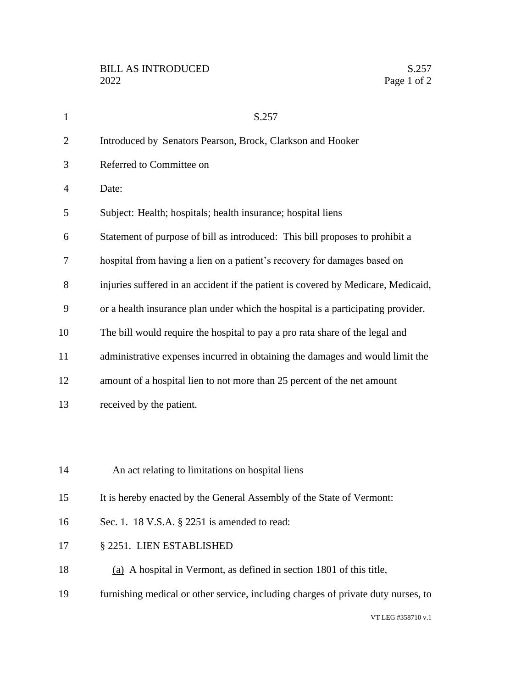| $\mathbf{1}$   | S.257                                                                             |
|----------------|-----------------------------------------------------------------------------------|
| $\overline{2}$ | Introduced by Senators Pearson, Brock, Clarkson and Hooker                        |
| 3              | Referred to Committee on                                                          |
| $\overline{4}$ | Date:                                                                             |
| 5              | Subject: Health; hospitals; health insurance; hospital liens                      |
| 6              | Statement of purpose of bill as introduced: This bill proposes to prohibit a      |
| 7              | hospital from having a lien on a patient's recovery for damages based on          |
| 8              | injuries suffered in an accident if the patient is covered by Medicare, Medicaid, |
| 9              | or a health insurance plan under which the hospital is a participating provider.  |
| 10             | The bill would require the hospital to pay a pro rata share of the legal and      |
| 11             | administrative expenses incurred in obtaining the damages and would limit the     |
| 12             | amount of a hospital lien to not more than 25 percent of the net amount           |
| 13             | received by the patient.                                                          |
|                |                                                                                   |
|                |                                                                                   |
| 14             | An act relating to limitations on hospital liens                                  |
| 15             | It is hereby enacted by the General Assembly of the State of Vermont:             |
| 16             | Sec. 1. 18 V.S.A. § 2251 is amended to read:                                      |
| 17             | § 2251. LIEN ESTABLISHED                                                          |
| 18             | (a) A hospital in Vermont, as defined in section 1801 of this title,              |
| 19             | furnishing medical or other service, including charges of private duty nurses, to |
|                | VT LEG #358710 v.1                                                                |